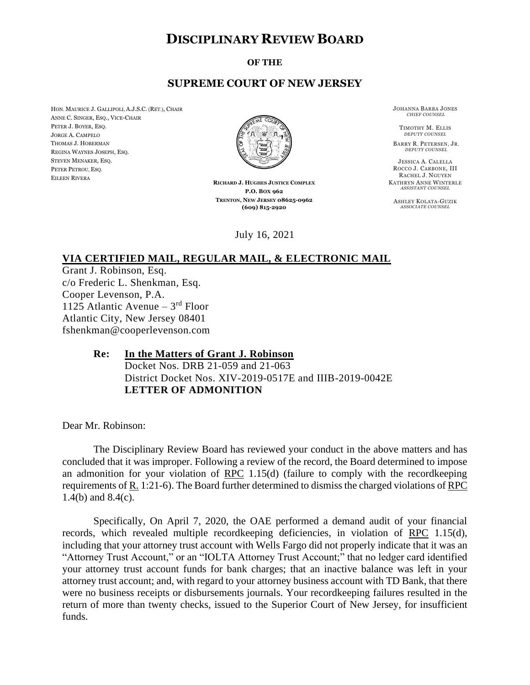## **DISCIPLINARY REVIEW BOARD**

**OF THE**

## **SUPREME COURT OF NEW JERSEY**

HON. MAURICE J. GALLIPOLI, A.J.S.C. (RET.), CHAIR ANNE C. SINGER, ESQ., VICE-CHAIR PETER J. BOYER, ESQ. JORGE A. CAMPELO THOMAS J. HOBERMAN REGINA WAYNES JOSEPH, ESQ. STEVEN MENAKER, ESQ. PETER PETROU, ESQ. EILEEN RIVERA



**RICHARD J. HUGHES JUSTICE COMPLEX P.O. BOX 962 TRENTON, NEW JERSEY 08625-0962 (609) 815-2920**

July 16, 2021

JOHANNA BARBA JONES *CHIEF COUNSEL*

TIMOTHY M. ELLIS *DEPUTY COUNSEL*

BARRY R. PETERSEN, JR. *DEPUTY COUNSEL*

JESSICA A. CALELLA ROCCO J. CARBONE, III RACHEL J. NGUYEN KATHRYN ANNE WINTERLE *ASSISTANT COUNSEL*

ASHLEY KOLATA-GUZIK *ASSOCIATE COUNSEL*

## **VIA CERTIFIED MAIL, REGULAR MAIL, & ELECTRONIC MAIL**

Grant J. Robinson, Esq. c/o Frederic L. Shenkman, Esq. Cooper Levenson, P.A. 1125 Atlantic Avenue - 3rd Floor Atlantic City, New Jersey 08401 fshenkman@cooperlevenson.com

## **Re: In the Matters of Grant J. Robinson**

Docket Nos. DRB 21-059 and 21-063 District Docket Nos. XIV-2019-0517E and IIIB-2019-0042E **LETTER OF ADMONITION**

Dear Mr. Robinson:

The Disciplinary Review Board has reviewed your conduct in the above matters and has concluded that it was improper. Following a review of the record, the Board determined to impose an admonition for your violation of RPC 1.15(d) (failure to comply with the recordkeeping requirements of R. 1:21-6). The Board further determined to dismiss the charged violations of RPC 1.4(b) and 8.4(c).

Specifically, On April 7, 2020, the OAE performed a demand audit of your financial records, which revealed multiple recordkeeping deficiencies, in violation of RPC 1.15(d), including that your attorney trust account with Wells Fargo did not properly indicate that it was an "Attorney Trust Account," or an "IOLTA Attorney Trust Account;" that no ledger card identified your attorney trust account funds for bank charges; that an inactive balance was left in your attorney trust account; and, with regard to your attorney business account with TD Bank, that there were no business receipts or disbursements journals. Your recordkeeping failures resulted in the return of more than twenty checks, issued to the Superior Court of New Jersey, for insufficient funds.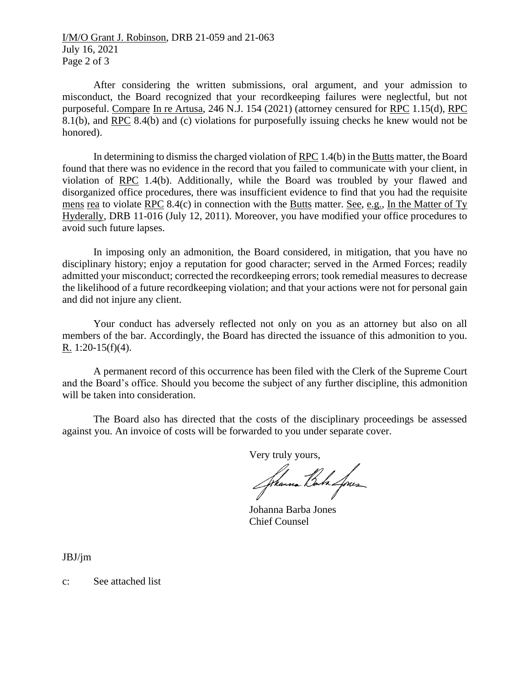I/M/O Grant J. Robinson, DRB 21-059 and 21-063 July 16, 2021 Page 2 of 3

After considering the written submissions, oral argument, and your admission to misconduct, the Board recognized that your recordkeeping failures were neglectful, but not purposeful. Compare In re Artusa, 246 N.J. 154 (2021) (attorney censured for RPC 1.15(d), RPC 8.1(b), and RPC 8.4(b) and (c) violations for purposefully issuing checks he knew would not be honored).

In determining to dismiss the charged violation of RPC 1.4(b) in the Butts matter, the Board found that there was no evidence in the record that you failed to communicate with your client, in violation of RPC 1.4(b). Additionally, while the Board was troubled by your flawed and disorganized office procedures, there was insufficient evidence to find that you had the requisite mens rea to violate RPC 8.4(c) in connection with the Butts matter. See, e.g., In the Matter of Ty Hyderally, DRB 11-016 (July 12, 2011). Moreover, you have modified your office procedures to avoid such future lapses.

In imposing only an admonition, the Board considered, in mitigation, that you have no disciplinary history; enjoy a reputation for good character; served in the Armed Forces; readily admitted your misconduct; corrected the recordkeeping errors; took remedial measures to decrease the likelihood of a future recordkeeping violation; and that your actions were not for personal gain and did not injure any client.

Your conduct has adversely reflected not only on you as an attorney but also on all members of the bar. Accordingly, the Board has directed the issuance of this admonition to you. R. 1:20-15(f)(4).

A permanent record of this occurrence has been filed with the Clerk of the Supreme Court and the Board's office. Should you become the subject of any further discipline, this admonition will be taken into consideration.

The Board also has directed that the costs of the disciplinary proceedings be assessed against you. An invoice of costs will be forwarded to you under separate cover.

Very truly yours,

Jhanna Bala Loues

Johanna Barba Jones Chief Counsel

JBJ/jm

c: See attached list